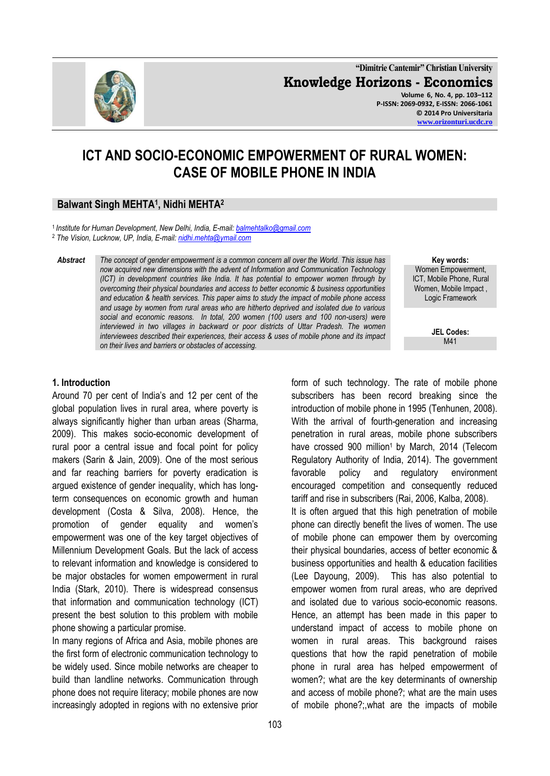

**"Dimitrie Cantemir" Christian University Knowledge Horizons - Economics Volume 6, No. 4, pp. 103–112 P-ISSN: 2069-0932, E-ISSN: 2066-1061 © 2014 Pro Universitaria [www.orizonturi.ucdc.ro](http://www.orizonturi.ucdc.ro/)**

# **ICT AND SOCIO-ECONOMIC EMPOWERMENT OF RURAL WOMEN: CASE OF MOBILE PHONE IN INDIA**

# **Balwant Singh MEHTA<sup>1</sup> , Nidhi MEHTA<sup>2</sup>**

<sup>1</sup>*Institute for Human Development, New Delhi, India, E-mail[: balmehtalko@gmail.com](mailto:balmehtalko@gmail.com)* <sup>2</sup> *The Vision, Lucknow, UP, India, E-mail[: nidhi.mehta@ymail.com](mailto:nidhi.mehta@ymail.com)*

*Abstract The concept of gender empowerment is a common concern all over the World. This issue has now acquired new dimensions with the advent of Information and Communication Technology (ICT) in development countries like India. It has potential to empower women through by overcoming their physical boundaries and access to better economic & business opportunities and education & health services. This paper aims to study the impact of mobile phone access and usage by women from rural areas who are hitherto deprived and isolated due to various social and economic reasons. In total, 200 women (100 users and 100 non-users) were interviewed in two villages in backward or poor districts of Uttar Pradesh. The women interviewees described their experiences, their access & uses of mobile phone and its impact on their lives and barriers or obstacles of accessing.*

**Key words:** Women Empowerment, ICT, Mobile Phone, Rural Women, Mobile Impact , Logic Framework

> **JEL Codes:** M41

#### **1. Introduction**

Around 70 per cent of India's and 12 per cent of the global population lives in rural area, where poverty is always significantly higher than urban areas (Sharma, 2009). This makes socio-economic development of rural poor a central issue and focal point for policy makers (Sarin & Jain, 2009). One of the most serious and far reaching barriers for poverty eradication is argued existence of gender inequality, which has longterm consequences on economic growth and human development (Costa & Silva, 2008). Hence, the promotion of gender equality and women's empowerment was one of the key target objectives of Millennium Development Goals. But the lack of access to relevant information and knowledge is considered to be major obstacles for women empowerment in rural India (Stark, 2010). There is widespread consensus that information and communication technology (ICT) present the best solution to this problem with mobile phone showing a particular promise.

In many regions of Africa and Asia, mobile phones are the first form of electronic communication technology to be widely used. Since mobile networks are cheaper to build than landline networks. Communication through phone does not require literacy; mobile phones are now increasingly adopted in regions with no extensive prior

form of such technology. The rate of mobile phone subscribers has been record breaking since the introduction of mobile phone in 1995 (Tenhunen, 2008). With the arrival of fourth-generation and increasing penetration in rural areas, mobile phone subscribers have crossed 900 million<sup>1</sup> by March, 2014 (Telecom Regulatory Authority of India, 2014). The government favorable policy and regulatory environment encouraged competition and consequently reduced tariff and rise in subscribers (Rai, 2006, Kalba, 2008). It is often argued that this high penetration of mobile phone can directly benefit the lives of women. The use of mobile phone can empower them by overcoming their physical boundaries, access of better economic & business opportunities and health & education facilities (Lee Dayoung, 2009). This has also potential to empower women from rural areas, who are deprived and isolated due to various socio-economic reasons. Hence, an attempt has been made in this paper to understand impact of access to mobile phone on women in rural areas. This background raises questions that how the rapid penetration of mobile phone in rural area has helped empowerment of women?; what are the key determinants of ownership and access of mobile phone?; what are the main uses of mobile phone?;,what are the impacts of mobile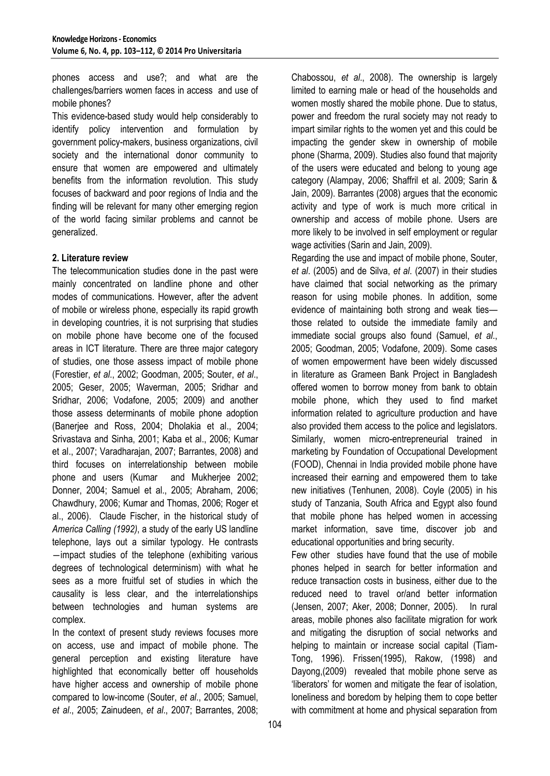phones access and use?; and what are the challenges/barriers women faces in access and use of mobile phones?

This evidence-based study would help considerably to identify policy intervention and formulation by government policy-makers, business organizations, civil society and the international donor community to ensure that women are empowered and ultimately benefits from the information revolution. This study focuses of backward and poor regions of India and the finding will be relevant for many other emerging region of the world facing similar problems and cannot be generalized.

# **2. Literature review**

The telecommunication studies done in the past were mainly concentrated on landline phone and other modes of communications. However, after the advent of mobile or wireless phone, especially its rapid growth in developing countries, it is not surprising that studies on mobile phone have become one of the focused areas in ICT literature. There are three major category of studies, one those assess impact of mobile phone (Forestier, *et al*., 2002; Goodman, 2005; Souter, *et al*., 2005; Geser, 2005; Waverman, 2005; Sridhar and Sridhar, 2006; Vodafone, 2005; 2009) and another those assess determinants of mobile phone adoption (Banerjee and Ross, 2004; Dholakia et al., 2004; Srivastava and Sinha, 2001; Kaba et al., 2006; Kumar et al., 2007; Varadharajan, 2007; Barrantes, 2008) and third focuses on interrelationship between mobile phone and users (Kumar and Mukherjee 2002; Donner, 2004; Samuel et al., 2005; Abraham, 2006; Chawdhury, 2006; Kumar and Thomas, 2006; Roger et al., 2006). Claude Fischer, in the historical study of *America Calling (1992)*, a study of the early US landline telephone, lays out a similar typology. He contrasts ―impact studies of the telephone (exhibiting various degrees of technological determinism) with what he sees as a more fruitful set of studies in which the causality is less clear, and the interrelationships between technologies and human systems are complex.

In the context of present study reviews focuses more on access, use and impact of mobile phone. The general perception and existing literature have highlighted that economically better off households have higher access and ownership of mobile phone compared to low-income (Souter, *et al*., 2005; Samuel, *et al*., 2005; Zainudeen, *et al*., 2007; Barrantes, 2008;

Chabossou, *et al*., 2008). The ownership is largely limited to earning male or head of the households and women mostly shared the mobile phone. Due to status, power and freedom the rural society may not ready to impart similar rights to the women yet and this could be impacting the gender skew in ownership of mobile phone (Sharma, 2009). Studies also found that majority of the users were educated and belong to young age category (Alampay, 2006; Shaffril et al. 2009; Sarin & Jain, 2009). Barrantes (2008) argues that the economic activity and type of work is much more critical in ownership and access of mobile phone. Users are more likely to be involved in self employment or regular wage activities (Sarin and Jain, 2009).

Regarding the use and impact of mobile phone, Souter, *et al*. (2005) and de Silva, *et al*. (2007) in their studies have claimed that social networking as the primary reason for using mobile phones. In addition, some evidence of maintaining both strong and weak ties those related to outside the immediate family and immediate social groups also found (Samuel, *et al*., 2005; Goodman, 2005; Vodafone, 2009). Some cases of women empowerment have been widely discussed in literature as Grameen Bank Project in Bangladesh offered women to borrow money from bank to obtain mobile phone, which they used to find market information related to agriculture production and have also provided them access to the police and legislators. Similarly, women micro-entrepreneurial trained in marketing by Foundation of Occupational Development (FOOD), Chennai in India provided mobile phone have increased their earning and empowered them to take new initiatives (Tenhunen, 2008). Coyle (2005) in his study of Tanzania, South Africa and Egypt also found that mobile phone has helped women in accessing market information, save time, discover job and educational opportunities and bring security.

Few other studies have found that the use of mobile phones helped in search for better information and reduce transaction costs in business, either due to the reduced need to travel or/and better information (Jensen, 2007; Aker, 2008; Donner, 2005). In rural areas, mobile phones also facilitate migration for work and mitigating the disruption of social networks and helping to maintain or increase social capital (Tiam-Tong, 1996). Frissen(1995), Rakow, (1998) and Dayong,(2009) revealed that mobile phone serve as 'liberators' for women and mitigate the fear of isolation, loneliness and boredom by helping them to cope better with commitment at home and physical separation from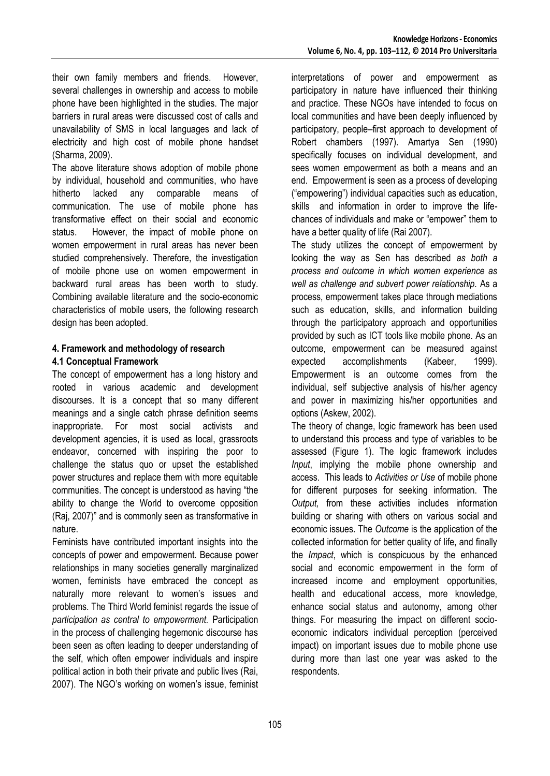their own family members and friends. However, several challenges in ownership and access to mobile phone have been highlighted in the studies. The major barriers in rural areas were discussed cost of calls and unavailability of SMS in local languages and lack of electricity and high cost of mobile phone handset (Sharma, 2009).

The above literature shows adoption of mobile phone by individual, household and communities, who have hitherto lacked any comparable means of communication. The use of mobile phone has transformative effect on their social and economic status. However, the impact of mobile phone on women empowerment in rural areas has never been studied comprehensively. Therefore, the investigation of mobile phone use on women empowerment in backward rural areas has been worth to study. Combining available literature and the socio-economic characteristics of mobile users, the following research design has been adopted.

# **4. Framework and methodology of research 4.1 Conceptual Framework**

The concept of empowerment has a long history and rooted in various academic and development discourses. It is a concept that so many different meanings and a single catch phrase definition seems inappropriate. For most social activists and development agencies, it is used as local, grassroots endeavor, concerned with inspiring the poor to challenge the status quo or upset the established power structures and replace them with more equitable communities. The concept is understood as having "the ability to change the World to overcome opposition (Raj, 2007)" and is commonly seen as transformative in nature.

Feminists have contributed important insights into the concepts of power and empowerment. Because power relationships in many societies generally marginalized women, feminists have embraced the concept as naturally more relevant to women's issues and problems. The Third World feminist regards the issue of *participation as central to empowerment.* Participation in the process of challenging hegemonic discourse has been seen as often leading to deeper understanding of the self, which often empower individuals and inspire political action in both their private and public lives (Rai, 2007). The NGO's working on women's issue, feminist interpretations of power and empowerment as participatory in nature have influenced their thinking and practice. These NGOs have intended to focus on local communities and have been deeply influenced by participatory, people–first approach to development of Robert chambers (1997). Amartya Sen (1990) specifically focuses on individual development, and sees women empowerment as both a means and an end. Empowerment is seen as a process of developing ("empowering") individual capacities such as education, skills and information in order to improve the lifechances of individuals and make or "empower" them to have a better quality of life (Rai 2007).

The study utilizes the concept of empowerment by looking the way as Sen has described *as both a process and outcome in which women experience as well as challenge and subvert power relationship.* As a process, empowerment takes place through mediations such as education, skills, and information building through the participatory approach and opportunities provided by such as ICT tools like mobile phone. As an outcome, empowerment can be measured against expected accomplishments (Kabeer, 1999). Empowerment is an outcome comes from the individual, self subjective analysis of his/her agency and power in maximizing his/her opportunities and options (Askew, 2002).

The theory of change, logic framework has been used to understand this process and type of variables to be assessed (Figure 1). The logic framework includes *Input*, implying the mobile phone ownership and access. This leads to *Activities or Use* of mobile phone for different purposes for seeking information. The *Output,* from these activities includes information building or sharing with others on various social and economic issues. The *Outcome* is the application of the collected information for better quality of life, and finally the *Impact*, which is conspicuous by the enhanced social and economic empowerment in the form of increased income and employment opportunities, health and educational access, more knowledge, enhance social status and autonomy, among other things. For measuring the impact on different socioeconomic indicators individual perception (perceived impact) on important issues due to mobile phone use during more than last one year was asked to the respondents.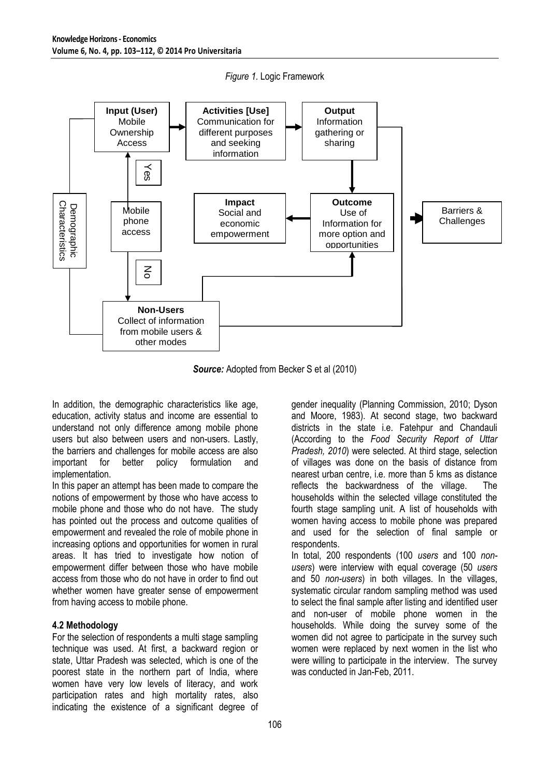

*Figure 1.* Logic Framework

*Source:* Adopted from Becker S et al (2010)

In addition, the demographic characteristics like age, education, activity status and income are essential to understand not only difference among mobile phone users but also between users and non-users. Lastly, the barriers and challenges for mobile access are also important for better policy formulation and implementation.

In this paper an attempt has been made to compare the notions of empowerment by those who have access to mobile phone and those who do not have. The study has pointed out the process and outcome qualities of empowerment and revealed the role of mobile phone in increasing options and opportunities for women in rural areas. It has tried to investigate how notion of empowerment differ between those who have mobile access from those who do not have in order to find out whether women have greater sense of empowerment from having access to mobile phone.

# **4.2 Methodology**

For the selection of respondents a multi stage sampling technique was used. At first, a backward region or state, Uttar Pradesh was selected, which is one of the poorest state in the northern part of India, where women have very low levels of literacy, and work participation rates and high mortality rates, also indicating the existence of a significant degree of gender inequality (Planning Commission, 2010; Dyson and Moore, 1983). At second stage, two backward districts in the state i.e. Fatehpur and Chandauli (According to the *Food Security Report of Uttar Pradesh, 2010*) were selected. At third stage, selection of villages was done on the basis of distance from nearest urban centre, i.e. more than 5 kms as distance reflects the backwardness of the village. The households within the selected village constituted the fourth stage sampling unit. A list of households with women having access to mobile phone was prepared and used for the selection of final sample or **respondents** 

In total, 200 respondents (100 *users* and 100 *nonusers*) were interview with equal coverage (50 *users* and 50 *non-users*) in both villages. In the villages, systematic circular random sampling method was used to select the final sample after listing and identified user and non-user of mobile phone women in the households. While doing the survey some of the women did not agree to participate in the survey such women were replaced by next women in the list who were willing to participate in the interview. The survey was conducted in Jan-Feb, 2011.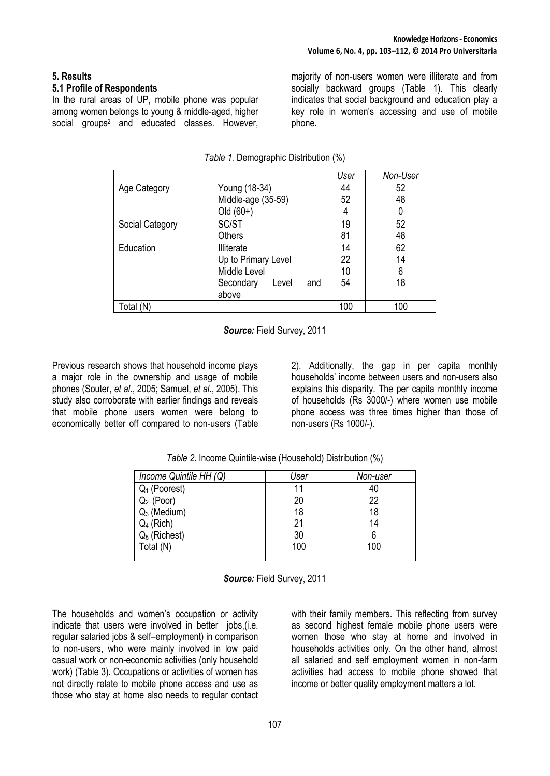# **5. Results**

# **5.1 Profile of Respondents**

In the rural areas of UP, mobile phone was popular among women belongs to young & middle-aged, higher social groups<sup>2</sup> and educated classes. However, majority of non-users women were illiterate and from socially backward groups (Table 1). This clearly indicates that social background and education play a key role in women's accessing and use of mobile phone.

|                 |                           | User | Non-User |
|-----------------|---------------------------|------|----------|
| Age Category    | Young (18-34)             | 44   | 52       |
|                 | Middle-age (35-59)        | 52   | 48       |
|                 | Old $(60+)$               | 4    | 0        |
| Social Category | SC/ST                     | 19   | 52       |
|                 | Others                    | 81   | 48       |
| Education       | <b>Illiterate</b>         | 14   | 62       |
|                 | Up to Primary Level       | 22   | 14       |
|                 | Middle Level              | 10   | 6        |
|                 | Secondary<br>Level<br>and | 54   | 18       |
|                 | above                     |      |          |
| Total (N)       |                           | 100  | 100      |

*Table 1.* Demographic Distribution (%)

*Source:* Field Survey, 2011

Previous research shows that household income plays a major role in the ownership and usage of mobile phones (Souter, *et al*., 2005; Samuel, *et al*., 2005). This study also corroborate with earlier findings and reveals that mobile phone users women were belong to economically better off compared to non-users (Table

2). Additionally, the gap in per capita monthly households' income between users and non-users also explains this disparity. The per capita monthly income of households (Rs 3000/-) where women use mobile phone access was three times higher than those of non-users (Rs 1000/-).

*Table 2.* Income Quintile-wise (Household) Distribution (%)

| Income Quintile HH (Q) | User | Non-user |
|------------------------|------|----------|
| $Q_1$ (Poorest)        | 11   | 40       |
| $Q_2$ (Poor)           | 20   | 22       |
| $Q_3$ (Medium)         | 18   | 18       |
| $Q_4$ (Rich)           | 21   | 14       |
| $Q_5$ (Richest)        | 30   | 6        |
| Total (N)              | 100  | 100      |
|                        |      |          |

*Source:* Field Survey, 2011

The households and women's occupation or activity indicate that users were involved in better jobs,(i.e. regular salaried jobs & self–employment) in comparison to non-users, who were mainly involved in low paid casual work or non-economic activities (only household work) (Table 3). Occupations or activities of women has not directly relate to mobile phone access and use as those who stay at home also needs to regular contact with their family members. This reflecting from survey as second highest female mobile phone users were women those who stay at home and involved in households activities only. On the other hand, almost all salaried and self employment women in non-farm activities had access to mobile phone showed that income or better quality employment matters a lot.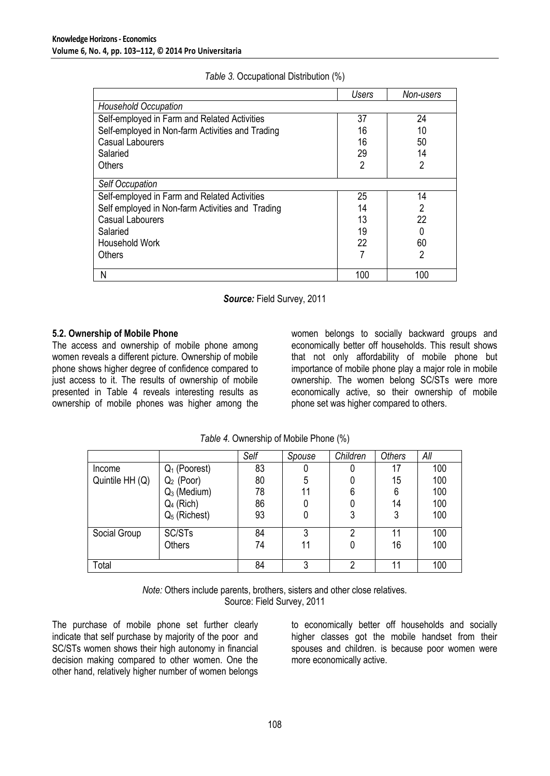|                                                  | Users          | Non-users      |
|--------------------------------------------------|----------------|----------------|
| <b>Household Occupation</b>                      |                |                |
| Self-employed in Farm and Related Activities     | 37             | 24             |
| Self-employed in Non-farm Activities and Trading | 16             | 10             |
| <b>Casual Labourers</b>                          | 16             | 50             |
| Salaried                                         | 29             | 14             |
| Others                                           | $\overline{2}$ | $\overline{2}$ |
| <b>Self Occupation</b>                           |                |                |
| Self-employed in Farm and Related Activities     | 25             | 14             |
| Self employed in Non-farm Activities and Trading | 14             | 2              |
| <b>Casual Labourers</b>                          | 13             | 22             |
| Salaried                                         | 19             | 0              |
| Household Work                                   | 22             | 60             |
| Others                                           |                | 2              |
| Ν                                                | 100            | 100            |

#### *Table 3.* Occupational Distribution (%)

*Source:* Field Survey, 2011

# **5.2. Ownership of Mobile Phone**

The access and ownership of mobile phone among women reveals a different picture. Ownership of mobile phone shows higher degree of confidence compared to just access to it. The results of ownership of mobile presented in Table 4 reveals interesting results as ownership of mobile phones was higher among the

women belongs to socially backward groups and economically better off households. This result shows that not only affordability of mobile phone but importance of mobile phone play a major role in mobile ownership. The women belong SC/STs were more economically active, so their ownership of mobile phone set was higher compared to others.

|                 |                 | Self | Spouse | Children       | <b>Others</b> | All |
|-----------------|-----------------|------|--------|----------------|---------------|-----|
| <b>Income</b>   | $Q_1$ (Poorest) | 83   |        |                | 17            | 100 |
| Quintile HH (Q) | $Q_2$ (Poor)    | 80   | 5      |                | 15            | 100 |
|                 | $Q_3$ (Medium)  | 78   | 11     | 6              | 6             | 100 |
|                 | $Q_4$ (Rich)    | 86   |        |                | 14            | 100 |
|                 | $Q_5$ (Richest) | 93   |        | 3              | 3             | 100 |
| Social Group    | SC/STs          | 84   | 3      | $\overline{2}$ | 11            | 100 |
|                 | <b>Others</b>   | 74   | 11     |                | 16            | 100 |
| Total           |                 | 84   | ົ      | 2              | 11            | 100 |

*Table 4.* Ownership of Mobile Phone (%)

*Note:* Others include parents, brothers, sisters and other close relatives. Source: Field Survey, 2011

The purchase of mobile phone set further clearly indicate that self purchase by majority of the poor and SC/STs women shows their high autonomy in financial decision making compared to other women. One the other hand, relatively higher number of women belongs

to economically better off households and socially higher classes got the mobile handset from their spouses and children. is because poor women were more economically active.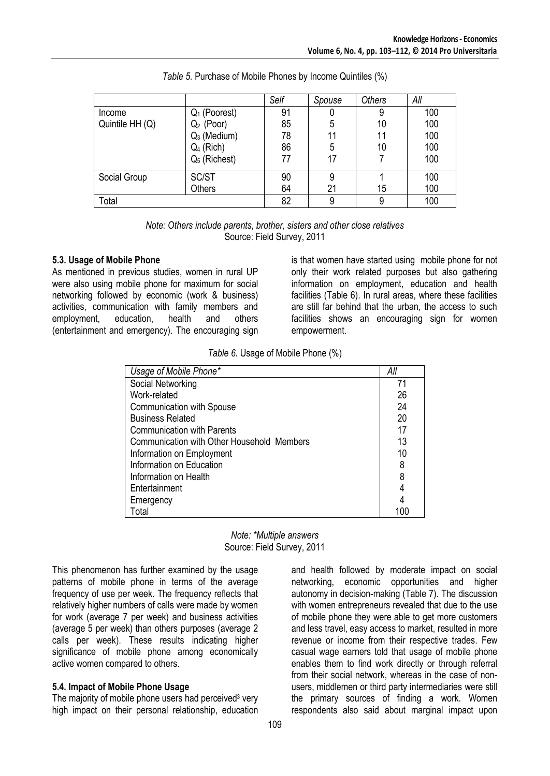|                 |                 | Self | Spouse | <b>Others</b> | All |
|-----------------|-----------------|------|--------|---------------|-----|
| Income          | $Q_1$ (Poorest) | 91   |        |               | 100 |
| Quintile HH (Q) | $Q_2$ (Poor)    | 85   | 5      | 10            | 100 |
|                 | $Q_3$ (Medium)  | 78   | 11     |               | 100 |
|                 | $Q_4$ (Rich)    | 86   | 5      | 10            | 100 |
|                 | $Q_5$ (Richest) | 77   | 17     |               | 100 |
| Social Group    | SC/ST           | 90   | 9      |               | 100 |
|                 | <b>Others</b>   | 64   | 21     | 15            | 100 |
| Total           |                 | 82   | 9      |               | 100 |

| Table 5. Purchase of Mobile Phones by Income Quintiles (%) |  |  |
|------------------------------------------------------------|--|--|
|------------------------------------------------------------|--|--|

*Note: Others include parents, brother, sisters and other close relatives* Source: Field Survey, 2011

#### **5.3. Usage of Mobile Phone**

As mentioned in previous studies, women in rural UP were also using mobile phone for maximum for social networking followed by economic (work & business) activities, communication with family members and employment, education, health and others (entertainment and emergency). The encouraging sign is that women have started using mobile phone for not only their work related purposes but also gathering information on employment, education and health facilities (Table 6). In rural areas, where these facilities are still far behind that the urban, the access to such facilities shows an encouraging sign for women empowerment.

*Table 6.* Usage of Mobile Phone (%)

| Usage of Mobile Phone*                     | All |
|--------------------------------------------|-----|
| Social Networking                          | 71  |
| Work-related                               | 26  |
| <b>Communication with Spouse</b>           | 24  |
| <b>Business Related</b>                    | 20  |
| <b>Communication with Parents</b>          | 17  |
| Communication with Other Household Members | 13  |
| Information on Employment                  | 10  |
| Information on Education                   | 8   |
| Information on Health                      | 8   |
| Entertainment                              | 4   |
| Emergency                                  | 4   |
| Total                                      | 100 |



This phenomenon has further examined by the usage patterns of mobile phone in terms of the average frequency of use per week. The frequency reflects that relatively higher numbers of calls were made by women for work (average 7 per week) and business activities (average 5 per week) than others purposes (average 2 calls per week). These results indicating higher significance of mobile phone among economically active women compared to others.

# **5.4. Impact of Mobile Phone Usage**

The majority of mobile phone users had perceived<sup>3</sup> very high impact on their personal relationship, education and health followed by moderate impact on social networking, economic opportunities and higher autonomy in decision-making (Table 7). The discussion with women entrepreneurs revealed that due to the use of mobile phone they were able to get more customers and less travel, easy access to market, resulted in more revenue or income from their respective trades. Few casual wage earners told that usage of mobile phone enables them to find work directly or through referral from their social network, whereas in the case of nonusers, middlemen or third party intermediaries were still the primary sources of finding a work. Women respondents also said about marginal impact upon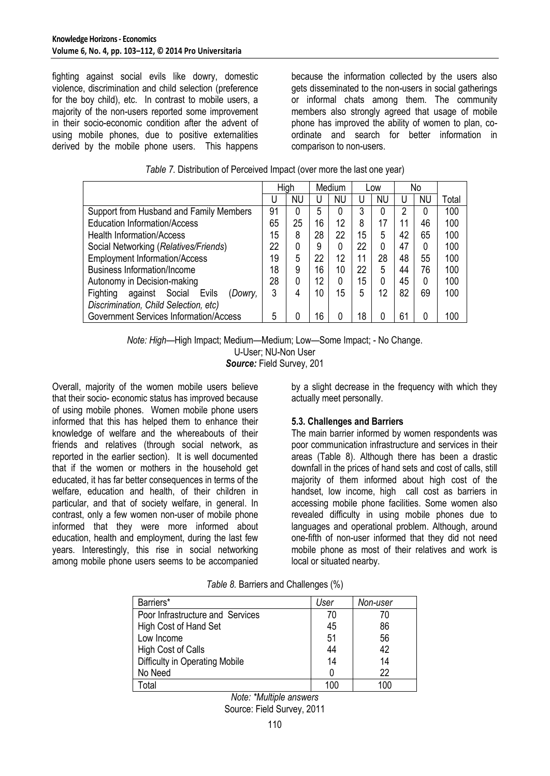fighting against social evils like dowry, domestic violence, discrimination and child selection (preference for the boy child), etc. In contrast to mobile users, a majority of the non-users reported some improvement in their socio-economic condition after the advent of using mobile phones, due to positive externalities derived by the mobile phone users. This happens because the information collected by the users also gets disseminated to the non-users in social gatherings or informal chats among them. The community members also strongly agreed that usage of mobile phone has improved the ability of women to plan, coordinate and search for better information in comparison to non-users.

|                                                   | High |    |    | Medium    |    | Low       |                | No        |       |
|---------------------------------------------------|------|----|----|-----------|----|-----------|----------------|-----------|-------|
|                                                   | U    | NU | υ  | <b>NU</b> | U  | <b>NU</b> | U              | <b>NU</b> | Total |
| Support from Husband and Family Members           | 91   | 0  | 5  | 0         | 3  | 0         | $\overline{2}$ | 0         | 100   |
| <b>Education Information/Access</b>               | 65   | 25 | 16 | 12        | 8  | 17        | 11             | 46        | 100   |
| <b>Health Information/Access</b>                  | 15   | 8  | 28 | 22        | 15 | 5         | 42             | 65        | 100   |
| Social Networking (Relatives/Friends)             |      | 0  | 9  | 0         | 22 | 0         | 47             | 0         | 100   |
| <b>Employment Information/Access</b>              |      | 5  | 22 | 12        | 11 | 28        | 48             | 55        | 100   |
| <b>Business Information/Income</b>                | 18   | 9  | 16 | 10        | 22 | 5         | 44             | 76        | 100   |
| Autonomy in Decision-making                       | 28   | 0  | 12 | 0         | 15 | 0         | 45             | 0         | 100   |
| Social<br>Evils<br>Fighting<br>against<br>(Dowry, | 3    | 4  | 10 | 15        | 5  | 12        | 82             | 69        | 100   |
| Discrimination, Child Selection, etc)             |      |    |    |           |    |           |                |           |       |
| <b>Government Services Information/Access</b>     | 5    |    | 16 | 0         | 18 | 0         | 61             | 0         | 100   |

| Table 7. Distribution of Perceived Impact (over more the last one year) |  |
|-------------------------------------------------------------------------|--|
|                                                                         |  |

*Note: High*—High Impact; Medium—Medium; Low—Some Impact; - No Change.

U-User; NU-Non User

*Source:* Field Survey, 201

Overall, majority of the women mobile users believe that their socio- economic status has improved because of using mobile phones. Women mobile phone users informed that this has helped them to enhance their knowledge of welfare and the whereabouts of their friends and relatives (through social network, as reported in the earlier section). It is well documented that if the women or mothers in the household get educated, it has far better consequences in terms of the welfare, education and health, of their children in particular, and that of society welfare, in general. In contrast, only a few women non-user of mobile phone informed that they were more informed about education, health and employment, during the last few years. Interestingly, this rise in social networking among mobile phone users seems to be accompanied

by a slight decrease in the frequency with which they actually meet personally.

# **5.3. Challenges and Barriers**

The main barrier informed by women respondents was poor communication infrastructure and services in their areas (Table 8). Although there has been a drastic downfall in the prices of hand sets and cost of calls, still majority of them informed about high cost of the handset, low income, high call cost as barriers in accessing mobile phone facilities. Some women also revealed difficulty in using mobile phones due to languages and operational problem. Although, around one-fifth of non-user informed that they did not need mobile phone as most of their relatives and work is local or situated nearby.

| Barriers*                        | User | Non-user |
|----------------------------------|------|----------|
| Poor Infrastructure and Services | 70   | 70       |
| High Cost of Hand Set            | 45   | 86       |
| Low Income                       | 51   | 56       |
| High Cost of Calls               | 44   | 42       |
| Difficulty in Operating Mobile   | 14   | 14       |
| No Need                          |      | 22       |
| . otal                           | 100  | 100      |

*Table 8.* Barriers and Challenges (%)

*Note: \*Multiple answers* Source: Field Survey, 2011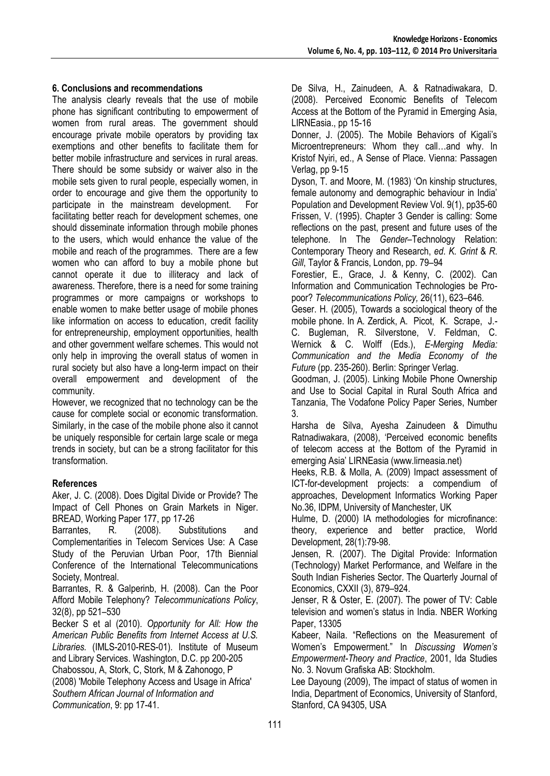# **6. Conclusions and recommendations**

The analysis clearly reveals that the use of mobile phone has significant contributing to empowerment of women from rural areas. The government should encourage private mobile operators by providing tax exemptions and other benefits to facilitate them for better mobile infrastructure and services in rural areas. There should be some subsidy or waiver also in the mobile sets given to rural people, especially women, in order to encourage and give them the opportunity to participate in the mainstream development. For facilitating better reach for development schemes, one should disseminate information through mobile phones to the users, which would enhance the value of the mobile and reach of the programmes. There are a few women who can afford to buy a mobile phone but cannot operate it due to illiteracy and lack of awareness. Therefore, there is a need for some training programmes or more campaigns or workshops to enable women to make better usage of mobile phones like information on access to education, credit facility for entrepreneurship, employment opportunities, health and other government welfare schemes. This would not only help in improving the overall status of women in rural society but also have a long-term impact on their overall empowerment and development of the community.

However, we recognized that no technology can be the cause for complete social or economic transformation. Similarly, in the case of the mobile phone also it cannot be uniquely responsible for certain large scale or mega trends in society, but can be a strong facilitator for this transformation.

# **References**

Aker, J. C. (2008). Does Digital Divide or Provide? The Impact of Cell Phones on Grain Markets in Niger. BREAD, Working Paper 177, pp 17-26

Barrantes, R. (2008). Substitutions and Complementarities in Telecom Services Use: A Case Study of the Peruvian Urban Poor, 17th Biennial Conference of the International Telecommunications Society, Montreal.

Barrantes, R. & Galperinb, H. (2008). Can the Poor Afford Mobile Telephony? *Telecommunications Policy*, 32(8), pp 521–530

Becker S et al (2010). *Opportunity for All: How the American Public Benefits from Internet Access at U.S. Libraries.* (IMLS-2010-RES-01). Institute of Museum and Library Services. Washington, D.C. pp 200-205 Chabossou, A, Stork, C, Stork, M & Zahonogo, P (2008) 'Mobile Telephony Access and Usage in Africa' *Southern African Journal of Information and Communication*, 9: pp 17-41.

De Silva, H., Zainudeen, A. & Ratnadiwakara, D. (2008). Perceived Economic Benefits of Telecom Access at the Bottom of the Pyramid in Emerging Asia, LIRNEasia., pp 15-16

Donner, J. (2005). The Mobile Behaviors of Kigali's Microentrepreneurs: Whom they call…and why. In Kristof Nyiri, ed., A Sense of Place. Vienna: Passagen Verlag, pp 9-15

Dyson, T. and Moore, M. (1983) 'On kinship structures, female autonomy and demographic behaviour in India' Population and Development Review Vol. 9(1), pp35-60 Frissen, V. (1995). Chapter 3 Gender is calling: Some reflections on the past, present and future uses of the telephone. In The *Gender*–Technology Relation: Contemporary Theory and Research, *ed*. *K*. *Grint* & *R*. *Gill*, Taylor & Francis, London, pp. 79–94

Forestier, E., Grace, J. & Kenny, C. (2002). Can Information and Communication Technologies be Propoor? *Telecommunications Policy,* 26(11), 623–646.

Geser. H. (2005), Towards a sociological theory of the mobile phone. In A. Zerdick, A. Picot, K. Scrape, J.- C. Bugleman, R. Silverstone, V. Feldman, C. Wernick & C. Wolff (Eds.), *E-Merging Media: Communication and the Media Economy of the Future* (pp. 235-260). Berlin: Springer Verlag.

Goodman, J. (2005). Linking Mobile Phone Ownership and Use to Social Capital in Rural South Africa and Tanzania, The Vodafone Policy Paper Series, Number 3.

Harsha de Silva, Ayesha Zainudeen & Dimuthu Ratnadiwakara, (2008), 'Perceived economic benefits of telecom access at the Bottom of the Pyramid in emerging Asia' LIRNEasia (www.lirneasia.net)

Heeks, R.B. & Molla, A. (2009) Impact assessment of ICT-for-development projects: a compendium of approaches, Development Informatics Working Paper No.36, IDPM, University of Manchester, UK

Hulme, D. (2000) IA methodologies for microfinance: theory, experience and better practice, World Development, 28(1):79-98.

Jensen, R. (2007). The Digital Provide: Information (Technology) Market Performance, and Welfare in the South Indian Fisheries Sector. The Quarterly Journal of Economics, CXXII (3), 879–924.

Jenser, R & Oster, E. (2007). The power of TV: Cable television and women's status in India. NBER Working Paper, 13305

Kabeer, Naila. "Reflections on the Measurement of Women's Empowerment.‖ In *Discussing Women's Empowerment-Theory and Practice*, 2001, Ida Studies No. 3. Novum Grafiska AB: Stockholm.

Lee Dayoung (2009), The impact of status of women in India, Department of Economics, University of Stanford, Stanford, CA 94305, USA